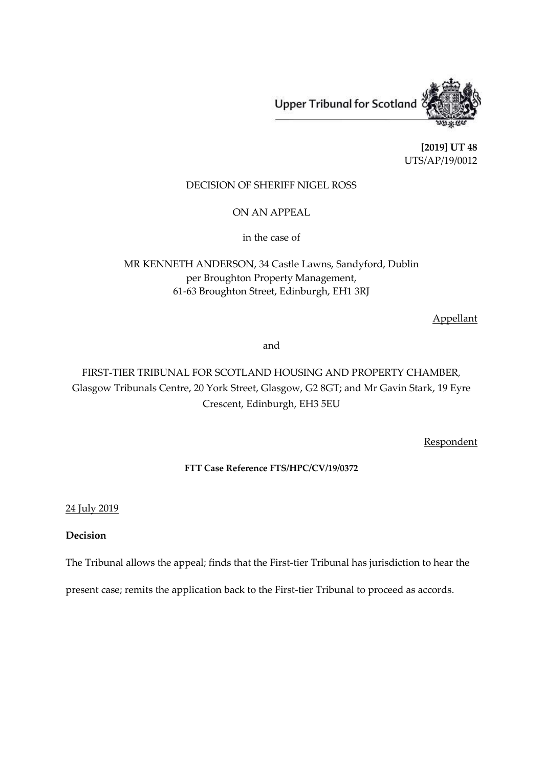**Upper Tribunal for Scotland** 



**[2019] UT 48** UTS/AP/19/0012

# DECISION OF SHERIFF NIGEL ROSS

ON AN APPEAL

in the case of

MR KENNETH ANDERSON, 34 Castle Lawns, Sandyford, Dublin per Broughton Property Management, 61-63 Broughton Street, Edinburgh, EH1 3RJ

Appellant

and

FIRST-TIER TRIBUNAL FOR SCOTLAND HOUSING AND PROPERTY CHAMBER, Glasgow Tribunals Centre, 20 York Street, Glasgow, G2 8GT; and Mr Gavin Stark, 19 Eyre Crescent, Edinburgh, EH3 5EU

Respondent

# **FTT Case Reference FTS/HPC/CV/19/0372**

24 July 2019

# **Decision**

The Tribunal allows the appeal; finds that the First-tier Tribunal has jurisdiction to hear the

present case; remits the application back to the First-tier Tribunal to proceed as accords.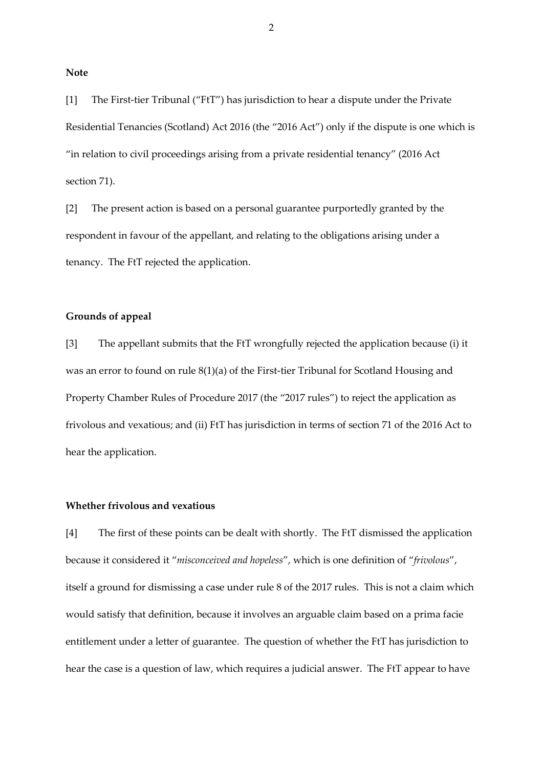**Note**

[1] The First-tier Tribunal ("FtT") has jurisdiction to hear a dispute under the Private Residential Tenancies (Scotland) Act 2016 (the "2016 Act") only if the dispute is one which is "in relation to civil proceedings arising from a private residential tenancy" (2016 Act section 71).

[2] The present action is based on a personal guarantee purportedly granted by the respondent in favour of the appellant, and relating to the obligations arising under a tenancy. The FtT rejected the application.

### **Grounds of appeal**

[3] The appellant submits that the FtT wrongfully rejected the application because (i) it was an error to found on rule 8(1)(a) of the First-tier Tribunal for Scotland Housing and Property Chamber Rules of Procedure 2017 (the "2017 rules") to reject the application as frivolous and vexatious; and (ii) FtT has jurisdiction in terms of section 71 of the 2016 Act to hear the application.

### **Whether frivolous and vexatious**

[4] The first of these points can be dealt with shortly. The FtT dismissed the application because it considered it "*misconceived and hopeless*", which is one definition of "*frivolous*", itself a ground for dismissing a case under rule 8 of the 2017 rules. This is not a claim which would satisfy that definition, because it involves an arguable claim based on a prima facie entitlement under a letter of guarantee. The question of whether the FtT has jurisdiction to hear the case is a question of law, which requires a judicial answer. The FtT appear to have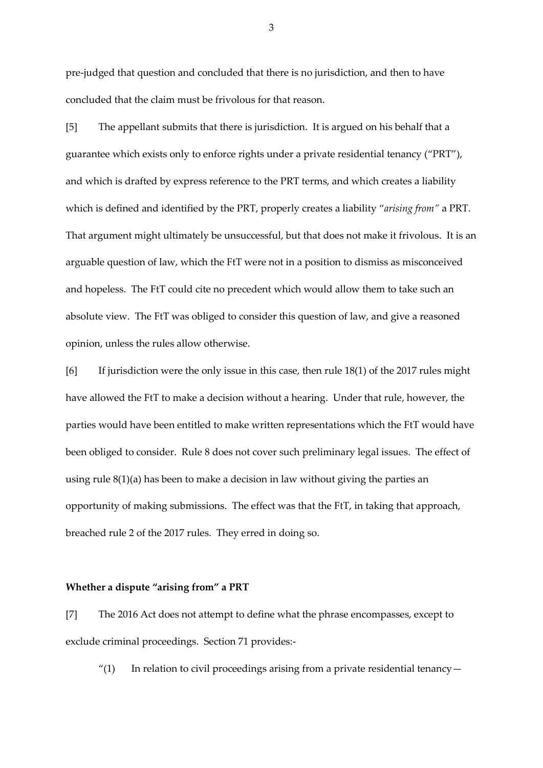pre-judged that question and concluded that there is no jurisdiction, and then to have concluded that the claim must be frivolous for that reason.

[5] The appellant submits that there is jurisdiction. It is argued on his behalf that a guarantee which exists only to enforce rights under a private residential tenancy ("PRT"), and which is drafted by express reference to the PRT terms, and which creates a liability which is defined and identified by the PRT, properly creates a liability "*arising from"* a PRT. That argument might ultimately be unsuccessful, but that does not make it frivolous. It is an arguable question of law, which the FtT were not in a position to dismiss as misconceived and hopeless. The FtT could cite no precedent which would allow them to take such an absolute view. The FtT was obliged to consider this question of law, and give a reasoned opinion, unless the rules allow otherwise.

[6] If jurisdiction were the only issue in this case, then rule 18(1) of the 2017 rules might have allowed the FtT to make a decision without a hearing. Under that rule, however, the parties would have been entitled to make written representations which the FtT would have been obliged to consider. Rule 8 does not cover such preliminary legal issues. The effect of using rule 8(1)(a) has been to make a decision in law without giving the parties an opportunity of making submissions. The effect was that the FtT, in taking that approach, breached rule 2 of the 2017 rules. They erred in doing so.

### **Whether a dispute "arising from" a PRT**

[7] The 2016 Act does not attempt to define what the phrase encompasses, except to exclude criminal proceedings. Section 71 provides:-

 $''(1)$  In relation to civil proceedings arising from a private residential tenancy —

3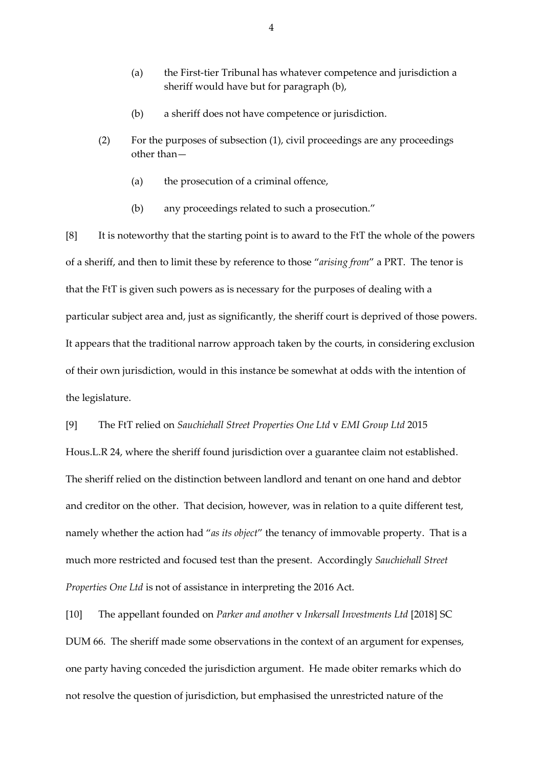- (a) the First-tier Tribunal has whatever competence and jurisdiction a sheriff would have but for paragraph (b),
- (b) a sheriff does not have competence or jurisdiction.
- (2) For the purposes of subsection (1), civil proceedings are any proceedings other than—
	- (a) the prosecution of a criminal offence,
	- (b) any proceedings related to such a prosecution."

[8] It is noteworthy that the starting point is to award to the FtT the whole of the powers of a sheriff, and then to limit these by reference to those "*arising from*" a PRT. The tenor is that the FtT is given such powers as is necessary for the purposes of dealing with a particular subject area and, just as significantly, the sheriff court is deprived of those powers. It appears that the traditional narrow approach taken by the courts, in considering exclusion of their own jurisdiction, would in this instance be somewhat at odds with the intention of the legislature.

### [9] The FtT relied on *Sauchiehall Street Properties One Ltd* v *EMI Group Ltd* 2015

Hous.L.R 24, where the sheriff found jurisdiction over a guarantee claim not established. The sheriff relied on the distinction between landlord and tenant on one hand and debtor and creditor on the other. That decision, however, was in relation to a quite different test, namely whether the action had "*as its object*" the tenancy of immovable property. That is a much more restricted and focused test than the present. Accordingly *Sauchiehall Street Properties One Ltd* is not of assistance in interpreting the 2016 Act.

[10] The appellant founded on *Parker and another* v *Inkersall Investments Ltd* [2018] SC DUM 66. The sheriff made some observations in the context of an argument for expenses, one party having conceded the jurisdiction argument. He made obiter remarks which do not resolve the question of jurisdiction, but emphasised the unrestricted nature of the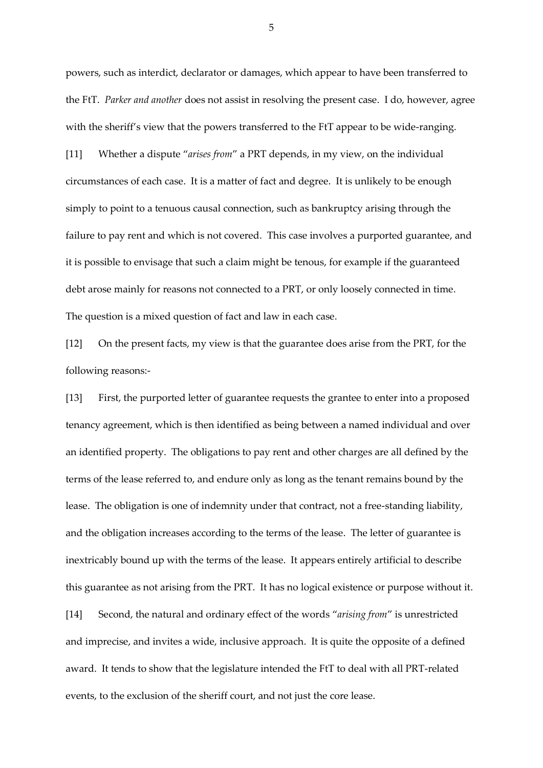powers, such as interdict, declarator or damages, which appear to have been transferred to the FtT. *Parker and another* does not assist in resolving the present case. I do, however, agree with the sheriff's view that the powers transferred to the FtT appear to be wide-ranging. [11] Whether a dispute "*arises from*" a PRT depends, in my view, on the individual circumstances of each case. It is a matter of fact and degree. It is unlikely to be enough simply to point to a tenuous causal connection, such as bankruptcy arising through the failure to pay rent and which is not covered. This case involves a purported guarantee, and it is possible to envisage that such a claim might be tenous, for example if the guaranteed debt arose mainly for reasons not connected to a PRT, or only loosely connected in time. The question is a mixed question of fact and law in each case.

[12] On the present facts, my view is that the guarantee does arise from the PRT, for the following reasons:-

[13] First, the purported letter of guarantee requests the grantee to enter into a proposed tenancy agreement, which is then identified as being between a named individual and over an identified property. The obligations to pay rent and other charges are all defined by the terms of the lease referred to, and endure only as long as the tenant remains bound by the lease. The obligation is one of indemnity under that contract, not a free-standing liability, and the obligation increases according to the terms of the lease. The letter of guarantee is inextricably bound up with the terms of the lease. It appears entirely artificial to describe this guarantee as not arising from the PRT. It has no logical existence or purpose without it. [14] Second, the natural and ordinary effect of the words "*arising from*" is unrestricted and imprecise, and invites a wide, inclusive approach. It is quite the opposite of a defined award. It tends to show that the legislature intended the FtT to deal with all PRT-related events, to the exclusion of the sheriff court, and not just the core lease.

5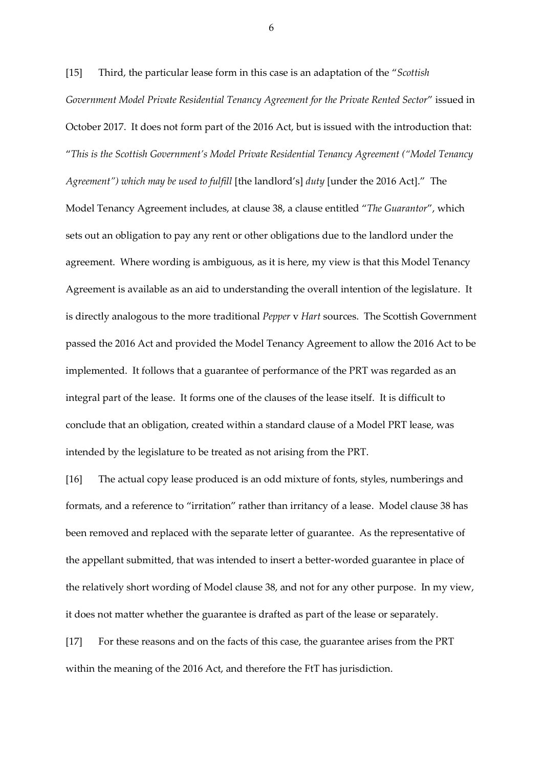[15] Third, the particular lease form in this case is an adaptation of the "*Scottish Government Model Private Residential Tenancy Agreement for the Private Rented Sector*" issued in October 2017. It does not form part of the 2016 Act, but is issued with the introduction that: "*This is the Scottish Government's Model Private Residential Tenancy Agreement ("Model Tenancy Agreement") which may be used to fulfill* [the landlord's] *duty* [under the 2016 Act]." The Model Tenancy Agreement includes, at clause 38, a clause entitled "*The Guarantor*", which sets out an obligation to pay any rent or other obligations due to the landlord under the agreement. Where wording is ambiguous, as it is here, my view is that this Model Tenancy Agreement is available as an aid to understanding the overall intention of the legislature. It is directly analogous to the more traditional *Pepper* v *Hart* sources. The Scottish Government passed the 2016 Act and provided the Model Tenancy Agreement to allow the 2016 Act to be implemented. It follows that a guarantee of performance of the PRT was regarded as an integral part of the lease. It forms one of the clauses of the lease itself. It is difficult to conclude that an obligation, created within a standard clause of a Model PRT lease, was intended by the legislature to be treated as not arising from the PRT.

[16] The actual copy lease produced is an odd mixture of fonts, styles, numberings and formats, and a reference to "irritation" rather than irritancy of a lease. Model clause 38 has been removed and replaced with the separate letter of guarantee. As the representative of the appellant submitted, that was intended to insert a better-worded guarantee in place of the relatively short wording of Model clause 38, and not for any other purpose. In my view, it does not matter whether the guarantee is drafted as part of the lease or separately.

[17] For these reasons and on the facts of this case, the guarantee arises from the PRT within the meaning of the 2016 Act, and therefore the FtT has jurisdiction.

6